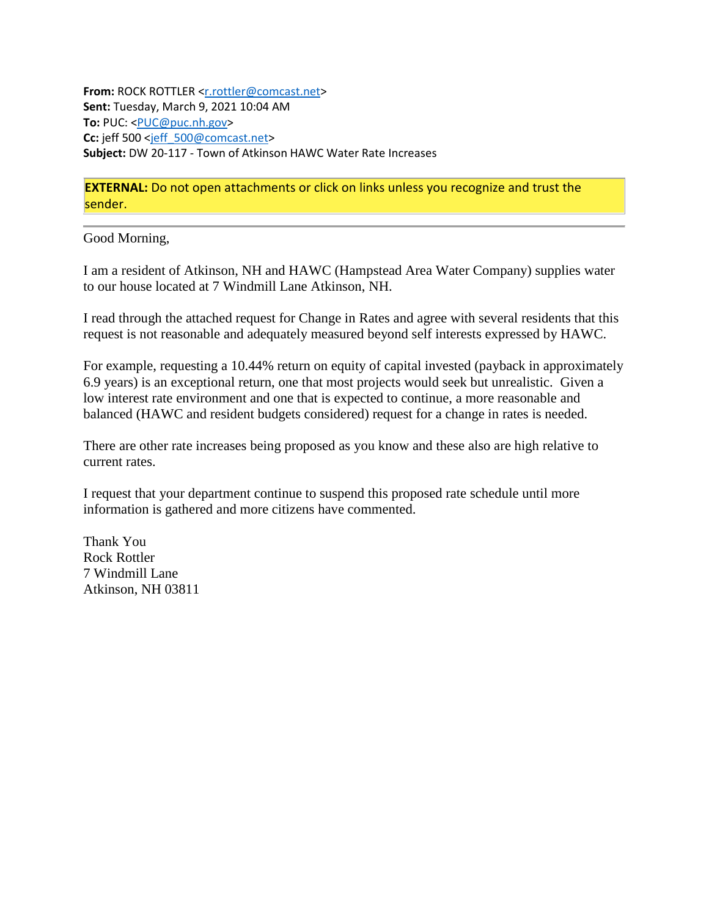**From:** ROCK ROTTLER [<r.rottler@comcast.net>](mailto:r.rottler@comcast.net) **Sent:** Tuesday, March 9, 2021 10:04 AM **To:** PUC: [<PUC@puc.nh.gov>](mailto:PUC@puc.nh.gov) **Cc:** jeff 500 [<jeff\\_500@comcast.net>](mailto:jeff_500@comcast.net) **Subject:** DW 20-117 - Town of Atkinson HAWC Water Rate Increases

**EXTERNAL:** Do not open attachments or click on links unless you recognize and trust the sender.

Good Morning,

I am a resident of Atkinson, NH and HAWC (Hampstead Area Water Company) supplies water to our house located at 7 Windmill Lane Atkinson, NH.

I read through the attached request for Change in Rates and agree with several residents that this request is not reasonable and adequately measured beyond self interests expressed by HAWC.

For example, requesting a 10.44% return on equity of capital invested (payback in approximately 6.9 years) is an exceptional return, one that most projects would seek but unrealistic. Given a low interest rate environment and one that is expected to continue, a more reasonable and balanced (HAWC and resident budgets considered) request for a change in rates is needed.

There are other rate increases being proposed as you know and these also are high relative to current rates.

I request that your department continue to suspend this proposed rate schedule until more information is gathered and more citizens have commented.

Thank You Rock Rottler 7 Windmill Lane Atkinson, NH 03811